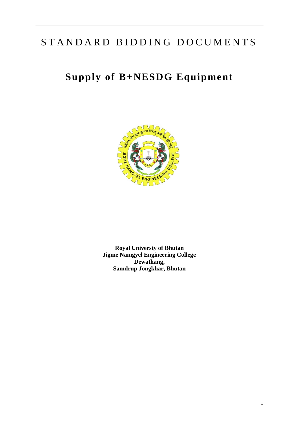# STANDARD BIDDING DOCUMENTS

# **Supply of B+NESDG Equipment**



**Royal Universty of Bhutan Jigme Namgyel Engineering College Dewathang, Samdrup Jongkhar, Bhutan**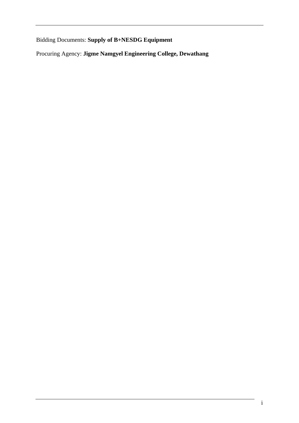Bidding Documents: **Supply of B+NESDG Equipment**

Procuring Agency: **Jigme Namgyel Engineering College, Dewathang**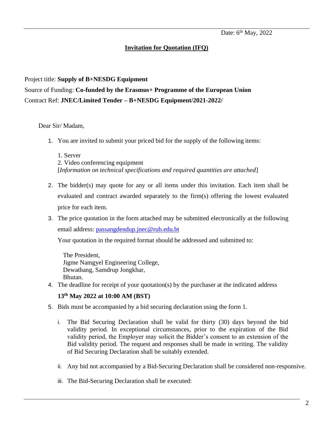### **Invitation for Quotation (IFQ)**

# Project title: **Supply of B+NESDG Equipment** Source of Funding: **Co-funded by the Erasmus+ Programme of the European Union** Contract Ref: **JNEC/Limited Tender – B+NESDG Equipment/2021-2022/**

#### Dear Sir/ Madam,

1. You are invited to submit your priced bid for the supply of the following items:

1. Server 2. Video conferencing equipment [*Information on technical specifications and required quantities are attached*]

- 2. The bidder(s) may quote for any or all items under this invitation. Each item shall be evaluated and contract awarded separately to the firm(s) offering the lowest evaluated price for each item.
- 3. The price quotation in the form attached may be submitted electronically at the following email address: [passangdendup.jnec@rub.edu.bt](mailto:passangdendup.jnec@rub.edu.bt)

Your quotation in the required format should be addressed and submitted to:

The President, Jigme Namgyel Engineering College, Dewathang, Samdrup Jongkhar, Bhutan.

4. The deadline for receipt of your quotation(s) by the purchaser at the indicated address

#### **13th May 2022 at 10:00 AM (BST)**

- 5. Bids must be accompanied by a bid securing declaration using the form 1.
	- i. The Bid Securing Declaration shall be valid for thirty (30) days beyond the bid validity period. In exceptional circumstances, prior to the expiration of the Bid validity period, the Employer may solicit the Bidder's consent to an extension of the Bid validity period. The request and responses shall be made in writing. The validity of Bid Securing Declaration shall be suitably extended.
	- ii. Any bid not accompanied by a Bid-Securing Declaration shall be considered non-responsive.
	- iii. The Bid-Securing Declaration shall be executed: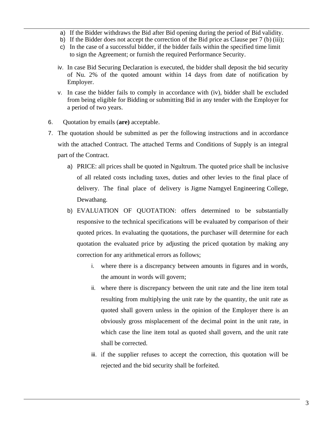- a) If the Bidder withdraws the Bid after Bid opening during the period of Bid validity.
- b) If the Bidder does not accept the correction of the Bid price as Clause per 7 (b) (iii);
- c) In the case of a successful bidder, if the bidder fails within the specified time limit to sign the Agreement; or furnish the required Performance Security.
- iv. In case Bid Securing Declaration is executed, the bidder shall deposit the bid security of Nu. 2% of the quoted amount within 14 days from date of notification by Employer.
- v. In case the bidder fails to comply in accordance with (iv), bidder shall be excluded from being eligible for Bidding or submitting Bid in any tender with the Employer for a period of two years.
- 6. Quotation by emails (**are)** acceptable.
- 7. The quotation should be submitted as per the following instructions and in accordance with the attached Contract. The attached Terms and Conditions of Supply is an integral part of the Contract.
	- a) PRICE: all prices shall be quoted in Ngultrum. The quoted price shall be inclusive of all related costs including taxes, duties and other levies to the final place of delivery. The final place of delivery is Jigme Namgyel Engineering College, Dewathang.
	- b) EVALUATION OF QUOTATION: offers determined to be substantially responsive to the technical specifications will be evaluated by comparison of their quoted prices. In evaluating the quotations, the purchaser will determine for each quotation the evaluated price by adjusting the priced quotation by making any correction for any arithmetical errors as follows;
		- i. where there is a discrepancy between amounts in figures and in words, the amount in words will govern;
		- ii. where there is discrepancy between the unit rate and the line item total resulting from multiplying the unit rate by the quantity, the unit rate as quoted shall govern unless in the opinion of the Employer there is an obviously gross misplacement of the decimal point in the unit rate, in which case the line item total as quoted shall govern, and the unit rate shall be corrected.
		- iii. if the supplier refuses to accept the correction, this quotation will be rejected and the bid security shall be forfeited.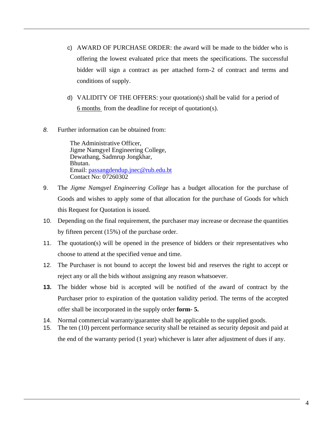- c) AWARD OF PURCHASE ORDER: the award will be made to the bidder who is offering the lowest evaluated price that meets the specifications. The successful bidder will sign a contract as per attached form-2 of contract and terms and conditions of supply.
- d) VALIDITY OF THE OFFERS: your quotation(s) shall be valid for a period of 6 months from the deadline for receipt of quotation(s).
- *8.* Further information can be obtained from:

The Administrative Officer, Jigme Namgyel Engineering College, Dewathang, Sadmrup Jongkhar, Bhutan. Email: [passangdendup.jnec@rub.edu.bt](mailto:passangdendup.jnec@rub.edu.bt) Contact No: 07260302

- 9. The *Jigme Namgyel Engineering College* has a budget allocation for the purchase of Goods and wishes to apply some of that allocation for the purchase of Goods for which this Request for Quotation is issued.
- 10. Depending on the final requirement, the purchaser may increase or decrease the quantities by fifteen percent (15%) of the purchase order.
- 11. The quotation(s) will be opened in the presence of bidders or their representatives who choose to attend at the specified venue and time.
- 12. The Purchaser is not bound to accept the lowest bid and reserves the right to accept or reject any or all the bids without assigning any reason whatsoever.
- **13.** The bidder whose bid is accepted will be notified of the award of contract by the Purchaser prior to expiration of the quotation validity period. The terms of the accepted offer shall be incorporated in the supply order **form- 5.**
- 14. Normal commercial warranty/guarantee shall be applicable to the supplied goods.
- 15. The ten (10) percent performance security shall be retained as security deposit and paid at the end of the warranty period (1 year) whichever is later after adjustment of dues if any.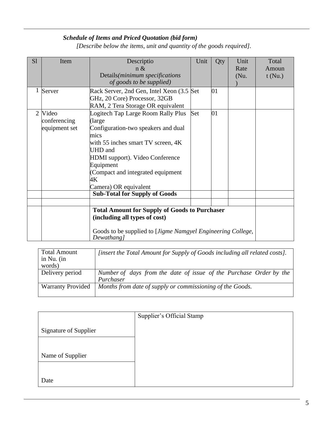## *Schedule of Items and Priced Quotation (bid form)*

*[Describe below the items, unit and quantity of the goods required].*

| S <sub>1</sub> | Item          | Descriptio                                                  | Unit | Qty | Unit     | Total  |
|----------------|---------------|-------------------------------------------------------------|------|-----|----------|--------|
|                |               | n &                                                         |      |     | Rate     | Amoun  |
|                |               | Details(minimum specifications                              |      |     | $(Nu)$ . | t(Nu.) |
|                |               | of goods to be supplied)                                    |      |     |          |        |
| 1              | Server        | Rack Server, 2nd Gen, Intel Xeon (3.5 Set)                  |      | 01  |          |        |
|                |               | GHz, 20 Core) Processor, 32GB                               |      |     |          |        |
|                |               | RAM, 2 Tera Storage OR equivalent                           |      |     |          |        |
|                | 2 Video       | Logitech Tap Large Room Rally Plus                          | Set  | 01  |          |        |
|                | conferencing  | (large                                                      |      |     |          |        |
|                | equipment set | Configuration-two speakers and dual                         |      |     |          |        |
|                |               | mics                                                        |      |     |          |        |
|                |               | with 55 inches smart TV screen, 4K                          |      |     |          |        |
|                |               | UHD and                                                     |      |     |          |        |
|                |               | HDMI support). Video Conference                             |      |     |          |        |
|                |               | Equipment                                                   |      |     |          |        |
|                |               | (Compact and integrated equipment                           |      |     |          |        |
|                |               | 4Κ                                                          |      |     |          |        |
|                |               | Camera) OR equivalent                                       |      |     |          |        |
|                |               | <b>Sub-Total for Supply of Goods</b>                        |      |     |          |        |
|                |               |                                                             |      |     |          |        |
|                |               | <b>Total Amount for Supply of Goods to Purchaser</b>        |      |     |          |        |
|                |               | (including all types of cost)                               |      |     |          |        |
|                |               |                                                             |      |     |          |        |
|                |               | Goods to be supplied to [Jigme Namgyel Engineering College, |      |     |          |        |
|                |               | Dewathang]                                                  |      |     |          |        |

| <b>Total Amount</b><br>in Nu. $(in$<br>words) | [insert the Total Amount for Supply of Goods including all related costs]. |
|-----------------------------------------------|----------------------------------------------------------------------------|
| Delivery period                               | Number of days from the date of issue of the Purchase Order by the         |
|                                               | Purchaser                                                                  |
| <b>Warranty Provided</b>                      | Months from date of supply or commissioning of the Goods.                  |

|                              | Supplier's Official Stamp |
|------------------------------|---------------------------|
| <b>Signature of Supplier</b> |                           |
|                              |                           |
| Name of Supplier             |                           |
|                              |                           |
| Date                         |                           |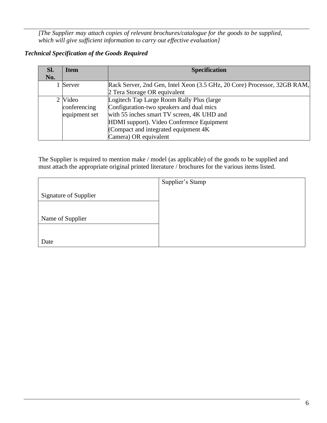*[The Supplier may attach copies of relevant brochures/catalogue for the goods to be supplied, which will give sufficient information to carry out effective evaluation]*

## *Technical Specification of the Goods Required*

| SI. | <b>Item</b>   | <b>Specification</b>                                                     |  |
|-----|---------------|--------------------------------------------------------------------------|--|
| No. |               |                                                                          |  |
|     | 1 Server      | Rack Server, 2nd Gen, Intel Xeon (3.5 GHz, 20 Core) Processor, 32GB RAM, |  |
|     |               | 2 Tera Storage OR equivalent                                             |  |
|     | 2 Video       | Logitech Tap Large Room Rally Plus (large                                |  |
|     | conferencing  | Configuration-two speakers and dual mics                                 |  |
|     | equipment set | with 55 inches smart TV screen, 4K UHD and                               |  |
|     |               | HDMI support). Video Conference Equipment                                |  |
|     |               | (Compact and integrated equipment $4K$                                   |  |
|     |               | Camera) OR equivalent                                                    |  |

The Supplier is required to mention make / model (as applicable) of the goods to be supplied and must attach the appropriate original printed literature / brochures for the various items listed.

|                              | Supplier's Stamp |
|------------------------------|------------------|
| <b>Signature of Supplier</b> |                  |
|                              |                  |
| Name of Supplier             |                  |
|                              |                  |
| Date                         |                  |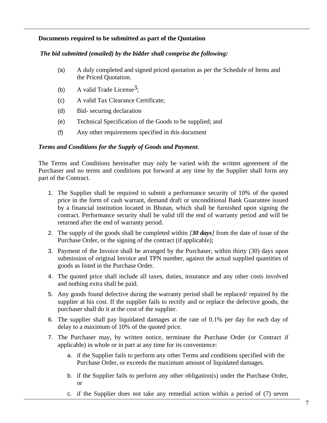#### **Documents required to be submitted as part of the Quotation**

#### *The bid submitted (emailed) by the bidder shall comprise the following:*

- (a) A duly completed and signed priced quotation as per the Schedule of Items and the Priced Quotation.
- (b) A valid Trade License<sup>3</sup>;
- (c) A valid Tax Clearance Certificate;
- (d) Bid- securing declaration
- (e) Technical Specification of the Goods to be supplied; and
- (f) Any other requirements specified in this document

#### *Terms and Conditions for the Supply of Goods and Payment.*

The Terms and Conditions hereinafter may only be varied with the written agreement of the Purchaser and no terms and conditions put forward at any time by the Supplier shall form any part of the Contract.

- 1. The Supplier shall be required to submit a performance security of 10% of the quoted price in the form of cash warrant, demand draft or unconditional Bank Guarantee issued by a financial institution located in Bhutan, which shall be furnished upon signing the contract. Performance security shall be valid till the end of warranty period and will be returned after the end of warranty period.
- 2. The supply of the goods shall be completed within *[30 days]* from the date of issue of the Purchase Order, or the signing of the contract (if applicable);
- 3. Payment of the Invoice shall be arranged by the Purchaser, within thirty (30) days upon submission of original Invoice and TPN number, against the actual supplied quantities of goods as listed in the Purchase Order.
- 4. The quoted price shall include all taxes, duties, insurance and any other costs involved and nothing extra shall be paid.
- 5. Any goods found defective during the warranty period shall be replaced/ repaired by the supplier at his cost. If the supplier fails to rectify and or replace the defective goods, the purchaser shall do it at the cost of the supplier.
- 6. The supplier shall pay liquidated damages at the rate of 0.1% per day for each day of delay to a maximum of 10% of the quoted price.
- 7. The Purchaser may, by written notice, terminate the Purchase Order (or Contract if applicable) in whole or in part at any time for its convenience:
	- a. if the Supplier fails to perform any other Terms and conditions specified with the Purchase Order, or exceeds the maximum amount of liquidated damages.
	- b. if the Supplier fails to perform any other obligation(s) under the Purchase Order, or
	- c. if the Supplier does not take any remedial action within a period of (7) seven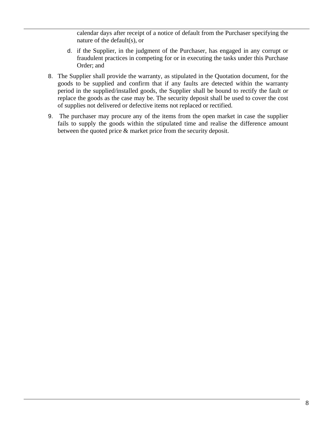calendar days after receipt of a notice of default from the Purchaser specifying the nature of the default(s), or

- d. if the Supplier, in the judgment of the Purchaser, has engaged in any corrupt or fraudulent practices in competing for or in executing the tasks under this Purchase Order; and
- 8. The Supplier shall provide the warranty, as stipulated in the Quotation document, for the goods to be supplied and confirm that if any faults are detected within the warranty period in the supplied/installed goods, the Supplier shall be bound to rectify the fault or replace the goods as the case may be. The security deposit shall be used to cover the cost of supplies not delivered or defective items not replaced or rectified.
- 9. The purchaser may procure any of the items from the open market in case the supplier fails to supply the goods within the stipulated time and realise the difference amount between the quoted price & market price from the security deposit.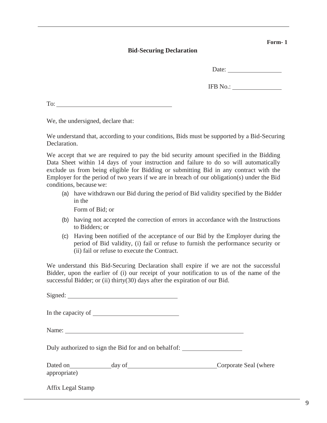#### **Bid-Securing Declaration**

Date:

IFB No.:

To:

We, the undersigned, declare that:

We understand that, according to your conditions, Bids must be supported by a Bid-Securing Declaration.

We accept that we are required to pay the bid security amount specified in the Bidding Data Sheet within 14 days of your instruction and failure to do so will automatically exclude us from being eligible for Bidding or submitting Bid in any contract with the Employer for the period of two years if we are in breach of our obligation(s) under the Bid conditions, because we:

(a) have withdrawn our Bid during the period of Bid validity specified by the Bidder in the

Form of Bid; or

- (b) having not accepted the correction of errors in accordance with the Instructions to Bidders; or
- (c) Having been notified of the acceptance of our Bid by the Employer during the period of Bid validity, (i) fail or refuse to furnish the performance security or (ii) fail or refuse to execute the Contract.

We understand this Bid-Securing Declaration shall expire if we are not the successful Bidder, upon the earlier of (i) our receipt of your notification to us of the name of the successful Bidder; or (ii) thirty(30) days after the expiration of our Bid.

Signed:

In the capacity of

Name: Name:

Duly authorized to sign the Bid for and on behalf of: \_\_\_\_\_\_\_\_\_\_\_\_\_\_\_\_\_\_\_\_\_\_\_\_\_\_

| Dated on     | day of | Corporate Seal (where |
|--------------|--------|-----------------------|
| appropriate) |        |                       |

Affix Legal Stamp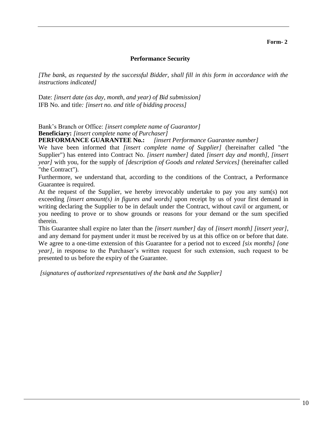#### **Performance Security**

*[The bank, as requested by the successful Bidder, shall fill in this form in accordance with the instructions indicated]*

Date: *[insert date (as day, month, and year) of Bid submission]* IFB No. and title*: [insert no. and title of bidding process]*

Bank's Branch or Office: *[insert complete name of Guarantor]* **Beneficiary:** *[insert complete name of Purchaser]*

**PERFORMANCE GUARANTEE No.:** *[insert Performance Guarantee number]*

We have been informed that *[insert complete name of Supplier]* (hereinafter called "the Supplier") has entered into Contract No*. [insert number]* dated *[insert day and month], [insert year]* with you, for the supply of *[description of Goods and related Services]* (hereinafter called "the Contract").

Furthermore, we understand that, according to the conditions of the Contract, a Performance Guarantee is required.

At the request of the Supplier, we hereby irrevocably undertake to pay you any sum(s) not exceeding *[insert amount(s) in figures and words]* upon receipt by us of your first demand in writing declaring the Supplier to be in default under the Contract, without cavil or argument, or you needing to prove or to show grounds or reasons for your demand or the sum specified therein.

This Guarantee shall expire no later than the *[insert number]* day of *[insert month] [insert year]*, and any demand for payment under it must be received by us at this office on or before that date. We agree to a one-time extension of this Guarantee for a period not to exceed *[six months] [one year]*, in response to the Purchaser's written request for such extension, such request to be presented to us before the expiry of the Guarantee.

*[signatures of authorized representatives of the bank and the Supplier]*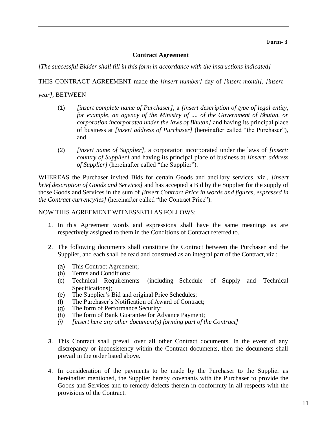#### **Contract Agreement**

*[The successful Bidder shall fill in this form in accordance with the instructions indicated]*

THIS CONTRACT AGREEMENT made the *[insert number]* day of *[insert month]*, *[insert* 

*year]*, BETWEEN

- (1) *[insert complete name of Purchaser]*, a *[insert description of type of legal entity, for example, an agency of the Ministry of .... of the Government of Bhutan, or corporation incorporated under the laws of Bhutan]* and having its principal place of business at *[insert address of Purchaser]* (hereinafter called "the Purchaser"), and
- (2) *[insert name of Supplier]*, a corporation incorporated under the laws of *[insert: country of Supplier]* and having its principal place of business at *[insert: address of Supplier]* (hereinafter called "the Supplier").

WHEREAS the Purchaser invited Bids for certain Goods and ancillary services, viz., *[insert brief description of Goods and Services]* and has accepted a Bid by the Supplier for the supply of those Goods and Services in the sum of *[insert Contract Price in words and figures, expressed in the Contract currency/ies]* (hereinafter called "the Contract Price").

#### NOW THIS AGREEMENT WITNESSETH AS FOLLOWS:

- 1. In this Agreement words and expressions shall have the same meanings as are respectively assigned to them in the Conditions of Contract referred to.
- 2. The following documents shall constitute the Contract between the Purchaser and the Supplier, and each shall be read and construed as an integral part of the Contract, viz.:
	- (a) This Contract Agreement;
	- (b) Terms and Conditions;
	- (c) Technical Requirements (including Schedule of Supply and Technical Specifications);
	- (e) The Supplier's Bid and original Price Schedules;
	- (f) The Purchaser's Notification of Award of Contract;
	- (g) The form of Performance Security;
	- (h) The form of Bank Guarantee for Advance Payment;
	- *(i) [insert here any other document(s) forming part of the Contract]*
- 3. This Contract shall prevail over all other Contract documents. In the event of any discrepancy or inconsistency within the Contract documents, then the documents shall prevail in the order listed above.
- 4. In consideration of the payments to be made by the Purchaser to the Supplier as hereinafter mentioned, the Supplier hereby covenants with the Purchaser to provide the Goods and Services and to remedy defects therein in conformity in all respects with the provisions of the Contract.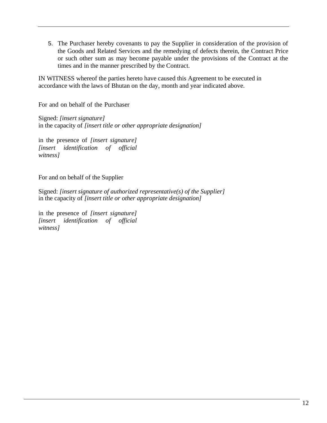5. The Purchaser hereby covenants to pay the Supplier in consideration of the provision of the Goods and Related Services and the remedying of defects therein, the Contract Price or such other sum as may become payable under the provisions of the Contract at the times and in the manner prescribed by the Contract.

IN WITNESS whereof the parties hereto have caused this Agreement to be executed in accordance with the laws of Bhutan on the day, month and year indicated above.

For and on behalf of the Purchaser

Signed: *[insert signature]* in the capacity of *[insert title or other appropriate designation]*

in the presence of *[insert signature] [insert identification of official witness]*

For and on behalf of the Supplier

Signed: *[insert signature of authorized representative(s) of the Supplier]* in the capacity of *[insert title or other appropriate designation]*

in the presence of *[insert signature] [insert identification of official witness]*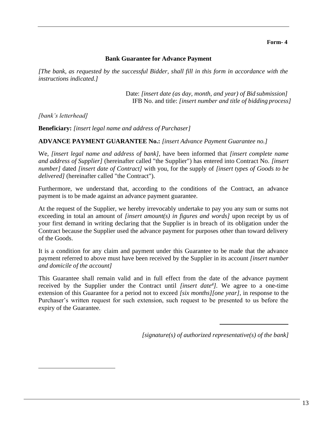#### **Bank Guarantee for Advance Payment**

*[The bank, as requested by the successful Bidder, shall fill in this form in accordance with the instructions indicated.]*

> Date: *[insert date (as day, month, and year) of Bid submission]* IFB No. and title: *[insert number and title of bidding process]*

*[bank's letterhead]*

**Beneficiary:** *[insert legal name and address of Purchaser]*

**ADVANCE PAYMENT GUARANTEE No.:** *[insert Advance Payment Guarantee no.]*

We, *[insert legal name and address of bank],* have been informed that *[insert complete name and address of Supplier]* (hereinafter called "the Supplier") has entered into Contract No. *[insert number]* dated *[insert date of Contract]* with you, for the supply of *[insert types of Goods to be delivered]* (hereinafter called "the Contract").

Furthermore, we understand that, according to the conditions of the Contract, an advance payment is to be made against an advance payment guarantee.

At the request of the Supplier, we hereby irrevocably undertake to pay you any sum or sums not exceeding in total an amount of *[insert amount(s) in figures and words]* upon receipt by us of your first demand in writing declaring that the Supplier is in breach of its obligation under the Contract because the Supplier used the advance payment for purposes other than toward delivery of the Goods.

It is a condition for any claim and payment under this Guarantee to be made that the advance payment referred to above must have been received by the Supplier in its account *[insert number and domicile of the account]*

This Guarantee shall remain valid and in full effect from the date of the advance payment received by the Supplier under the Contract until *[insert date<sup>4</sup> ].* We agree to a one-time extension of this Guarantee for a period not to exceed *[six months][one year]*, in response to the Purchaser's written request for such extension, such request to be presented to us before the expiry of the Guarantee.

*[signature(s) of authorized representative(s) of the bank]*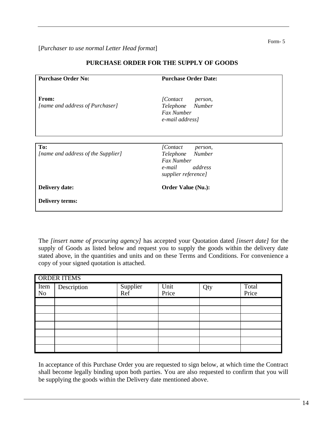#### [*Purchaser to use normal Letter Head format*]

| <b>Purchase Order No:</b>                 | <b>Purchase Order Date:</b>                                                                               |
|-------------------------------------------|-----------------------------------------------------------------------------------------------------------|
|                                           |                                                                                                           |
| From:<br>[name and address of Purchaser]  | <i>[Contact</i> ]<br>person,<br>Telephone Number<br><b>Fax Number</b><br>e-mail address]                  |
|                                           |                                                                                                           |
| To:<br>[name and address of the Supplier] | [Contact]<br>person,<br>Telephone Number<br><b>Fax Number</b><br>e-mail<br>address<br>supplier reference] |
| <b>Delivery date:</b>                     | <b>Order Value (Nu.):</b>                                                                                 |
| <b>Delivery terms:</b>                    |                                                                                                           |

#### **PURCHASE ORDER FOR THE SUPPLY OF GOODS**

The *[insert name of procuring agency]* has accepted your Quotation dated *[insert date]* for the supply of Goods as listed below and request you to supply the goods within the delivery date stated above, in the quantities and units and on these Terms and Conditions. For convenience a copy of your signed quotation is attached.

| <b>ORDER ITEMS</b> |             |                 |               |     |                |
|--------------------|-------------|-----------------|---------------|-----|----------------|
| Item<br>No         | Description | Supplier<br>Ref | Unit<br>Price | Qty | Total<br>Price |
|                    |             |                 |               |     |                |
|                    |             |                 |               |     |                |
|                    |             |                 |               |     |                |
|                    |             |                 |               |     |                |
|                    |             |                 |               |     |                |
|                    |             |                 |               |     |                |
|                    |             |                 |               |     |                |

In acceptance of this Purchase Order you are requested to sign below, at which time the Contract shall become legally binding upon both parties. You are also requested to confirm that you will be supplying the goods within the Delivery date mentioned above.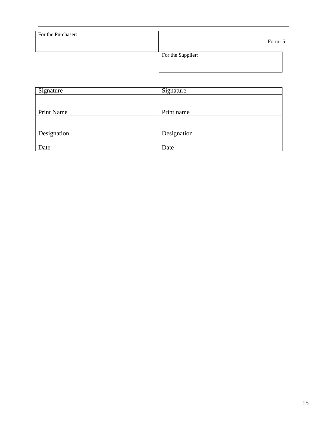| For the Purchaser: | Form-5            |
|--------------------|-------------------|
|                    | For the Supplier: |

| Signature   | Signature   |
|-------------|-------------|
|             |             |
|             |             |
| Print Name  | Print name  |
|             |             |
|             |             |
| Designation | Designation |
|             |             |
| Date        | Date        |